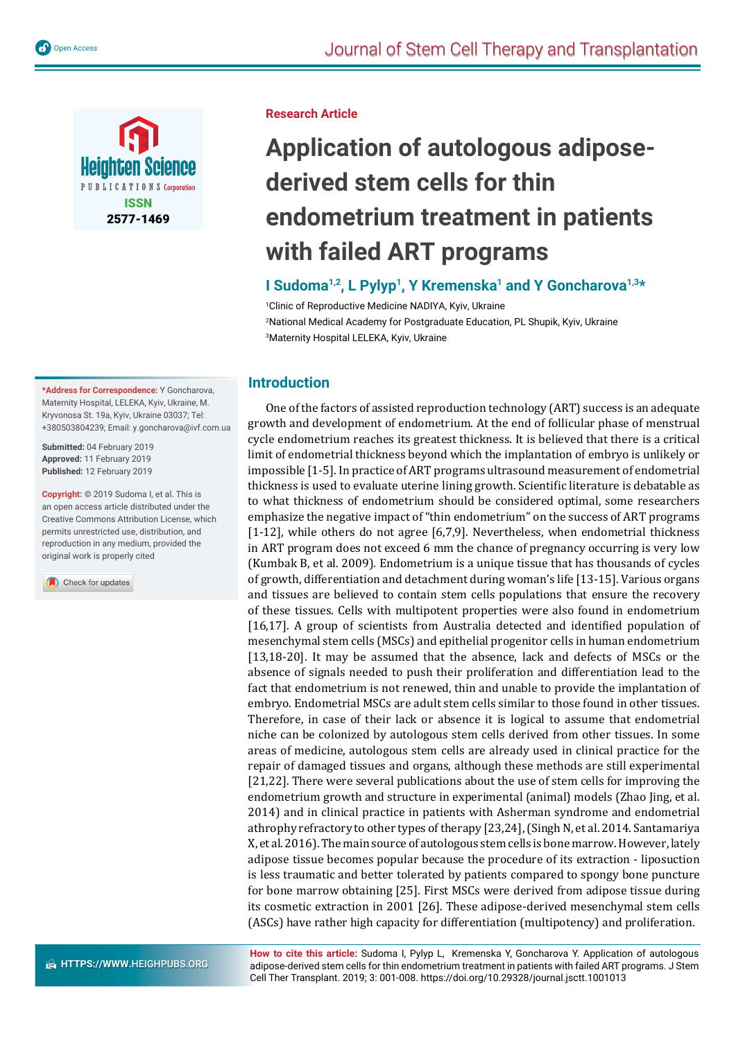

**\*Address for Correspondence:** Y Goncharova, Maternity Hospital, LELEKA, Kyiv, Ukraine, M. Kryvonosa St. 19a, Kyiv, Ukraine 03037; Tel: +380503804239; Email: y.goncharova@ivf.com.ua

**Submitted:** 04 February 2019 **Approved:** 11 February 2019 **Published:** 12 February 2019

**Copyright: ©** 2019 Sudoma I, et al. This is an open access article distributed under the Creative Commons Attribution License, which permits unrestricted use, distribution, and reproduction in any medium, provided the original work is properly cited

Check for updates

#### **Research Article**

# **Application of autologous adiposederived stem cells for thin endometrium treatment in patients with failed ART programs**

# **I Sudoma1,2, L Pylyp1, Y Kremenska1 and Y Goncharova1,3\***

1 Clinic of Reproductive Medicine NADIYA, Kyiv, Ukraine 2 National Medical Academy for Postgraduate Education, PL Shupik, Kyiv, Ukraine 3 Maternity Hospital LELEKA, Kyiv, Ukraine

# **Introduction**

One of the factors of assisted reproduction technology (ART) success is an adequate growth and development of endometrium. At the end of follicular phase of menstrual cycle endometrium reaches its greatest thickness. It is believed that there is a critical limit of endometrial thickness beyond which the implantation of embryo is unlikely or impossible [1-5]. In practice of ART programs ultrasound measurement of endometrial thickness is used to evaluate uterine lining growth. Scientific literature is debatable as to what thickness of endometrium should be considered optimal, some researchers emphasize the negative impact of "thin endometrium" on the success of ART programs [1-12], while others do not agree [6,7,9]. Nevertheless, when endometrial thickness in ART program does not exceed 6 mm the chance of pregnancy occurring is very low (Kumbak B, et al. 2009). Endometrium is a unique tissue that has thousands of cycles of growth, differentiation and detachment during woman's life [13-15]. Various organs and tissues are believed to contain stem cells populations that ensure the recovery of these tissues. Cells with multipotent properties were also found in endometrium [16,17]. A group of scientists from Australia detected and identified population of mesenchymal stem cells (MSCs) and epithelial progenitor cells in human endometrium [13,18-20]. It may be assumed that the absence, lack and defects of MSCs or the absence of signals needed to push their proliferation and differentiation lead to the fact that endometrium is not renewed, thin and unable to provide the implantation of embryo. Endometrial MSCs are adult stem cells similar to those found in other tissues. Therefore, in case of their lack or absence it is logical to assume that endometrial niche can be colonized by autologous stem cells derived from other tissues. In some areas of medicine, autologous stem cells are already used in clinical practice for the repair of damaged tissues and organs, although these methods are still experimental [21,22]. There were several publications about the use of stem cells for improving the endometrium growth and structure in experimental (animal) models (Zhao Jing, et al. 2014) and in clinical practice in patients with Asherman syndrome and endometrial athrophy refractory to other types of therapy [23,24], (Singh N, et al. 2014. Santamariya X, et al. 2016). The main source of autologous stem cells is bone marrow. However, lately adipose tissue becomes popular because the procedure of its extraction - liposuction is less traumatic and better tolerated by patients compared to spongy bone puncture for bone marrow obtaining [25]. First MSCs were derived from adipose tissue during its cosmetic extraction in 2001 [26]. These adipose-derived mesenchymal stem cells (ASCs) have rather high capacity for differentiation (multipotency) and proliferation.

**How to cite this article:** Sudoma I, Pylyp L, Kremenska Y, Goncharova Y. Application of autologous adipose-derived stem cells for thin endometrium treatment in patients with failed ART programs. J Stem Cell Ther Transplant. 2019; 3: 001-008. https://doi.org/10.29328/journal.jsctt.1001013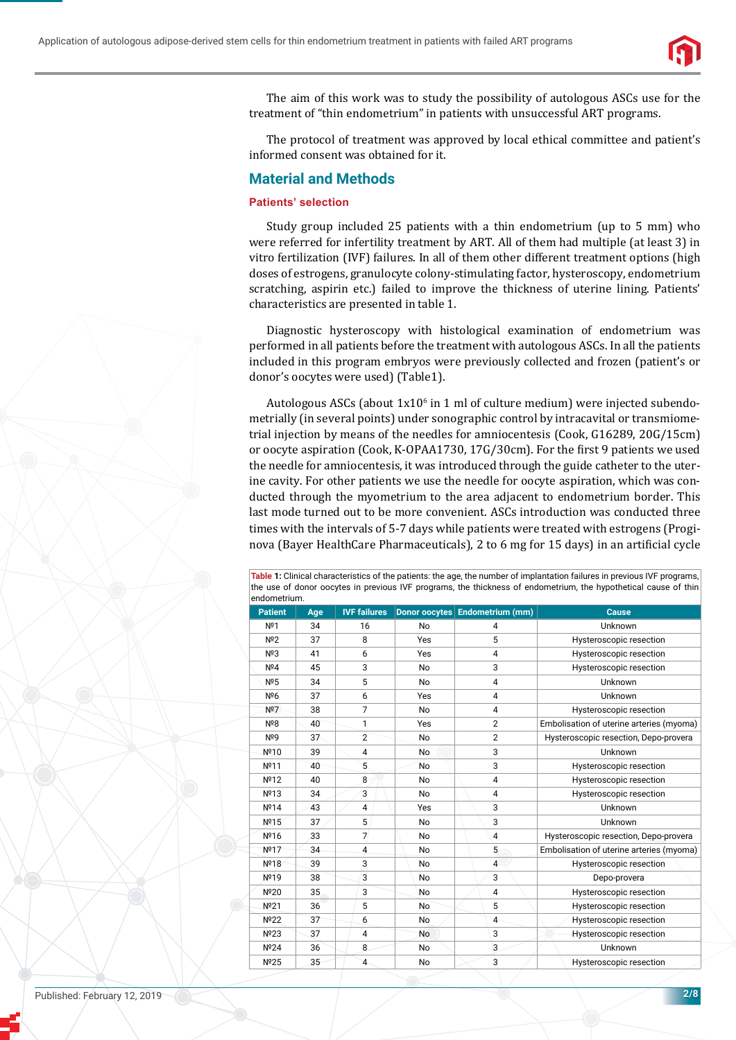

The aim of this work was to study the possibility of autologous ASCs use for the treatment of "thin endometrium" in patients with unsuccessful ART programs.

The protocol of treatment was approved by local ethical committee and patient's informed consent was obtained for it.

# **Material and Methods**

## **Patients' selection**

Study group included 25 patients with a thin endometrium (up to 5 mm) who were referred for infertility treatment by ART. All of them had multiple (at least 3) in vitro fertilization (IVF) failures. In all of them other different treatment options (high doses of estrogens, granulocyte colony-stimulating factor, hysteroscopy, endometrium scratching, aspirin etc.) failed to improve the thickness of uterine lining. Patients' characteristics are presented in table 1.

Diagnostic hysteroscopy with histological examination of endometrium was performed in all patients before the treatment with autologous ASCs. In all the patients included in this program embryos were previously collected and frozen (patient's or donor's oocytes were used) (Table1).

Autologous ASCs (about 1x10<sup>6</sup> in 1 ml of culture medium) were injected subendometrially (in several points) under sonographic control by intracavital or transmiometrial injection by means of the needles for amniocentesis (Cook, G16289, 20G/15cm) or oocyte aspiration (Cook, K-OPAA1730, 17G/30cm). For the first 9 patients we used the needle for amniocentesis, it was introduced through the guide catheter to the uterine cavity. For other patients we use the needle for oocyte aspiration, which was conducted through the myometrium to the area adjacent to endometrium border. This last mode turned out to be more convenient. ASCs introduction was conducted three times with the intervals of 5-7 days while patients were treated with estrogens (Proginova (Bayer HealthCare Pharmaceuticals), 2 to 6 mg for 15 days) in an artificial cycle

**Table 1:** Clinical characteristics of the patients: the age, the number of implantation failures in previous IVF programs, the use of donor oocytes in previous IVF programs, the thickness of endometrium, the hypothetical cause of thin endometrium.

| <b>Patient</b>   | Age | <b>IVF failures</b> |           | Donor oocytes Endometrium (mm) | <b>Cause</b>                             |
|------------------|-----|---------------------|-----------|--------------------------------|------------------------------------------|
| Nº1              | 34  | 16                  | No        | 4                              | Unknown                                  |
| N <sup>2</sup>   | 37  | 8                   | Yes       | 5                              | Hysteroscopic resection                  |
| Nº3              | 41  | 6                   | Yes       | 4                              | Hysteroscopic resection                  |
| N <sup>2</sup> 4 | 45  | 3                   | No        | 3                              | Hysteroscopic resection                  |
| N <sup>2</sup> 5 | 34  | 5                   | <b>No</b> | 4                              | Unknown                                  |
| Nº6              | 37  | 6                   | Yes       | 4                              | Unknown                                  |
| Nº7              | 38  | $\overline{7}$      | No        | 4                              | Hysteroscopic resection                  |
| Nº8              | 40  | 1                   | Yes       | $\overline{2}$                 | Embolisation of uterine arteries (myoma) |
| Nº9              | 37  | $\overline{2}$      | No        | $\overline{2}$                 | Hysteroscopic resection, Depo-provera    |
| Nº10             | 39  | 4                   | No        | 3                              | Unknown                                  |
| Nº11             | 40  | 5                   | <b>No</b> | 3                              | Hysteroscopic resection                  |
| Nº12             | 40  | 8                   | No        | 4                              | Hysteroscopic resection                  |
| Nº13             | 34  | 3                   | No        | 4                              | Hysteroscopic resection                  |
| Nº14             | 43  | 4                   | Yes       | 3                              | Unknown                                  |
| Nº15             | 37  | 5                   | No        | 3                              | Unknown                                  |
| Nº16             | 33  | $\overline{7}$      | No        | 4                              | Hysteroscopic resection, Depo-provera    |
| Nº17             | 34  | 4                   | No        | 5                              | Embolisation of uterine arteries (myoma) |
| Nº18             | 39  | 3                   | No        | $\overline{4}$                 | Hysteroscopic resection                  |
| Nº19             | 38  | 3                   | No        | 3                              | Depo-provera                             |
| Nº20             | 35  | 3                   | No        | 4                              | Hysteroscopic resection                  |
| Nº21             | 36  | 5                   | No        | 5                              | Hysteroscopic resection                  |
| Nº22             | 37  | 6                   | No        | $\overline{4}$                 | Hysteroscopic resection                  |
| Nº23             | 37  | 4                   | No        | 3                              | Hysteroscopic resection                  |
| Nº24             | 36  | 8                   | No        | 3                              | Unknown                                  |
| Nº25             | 35  | $\overline{4}$      | No        | $\overline{3}$                 | Hysteroscopic resection                  |

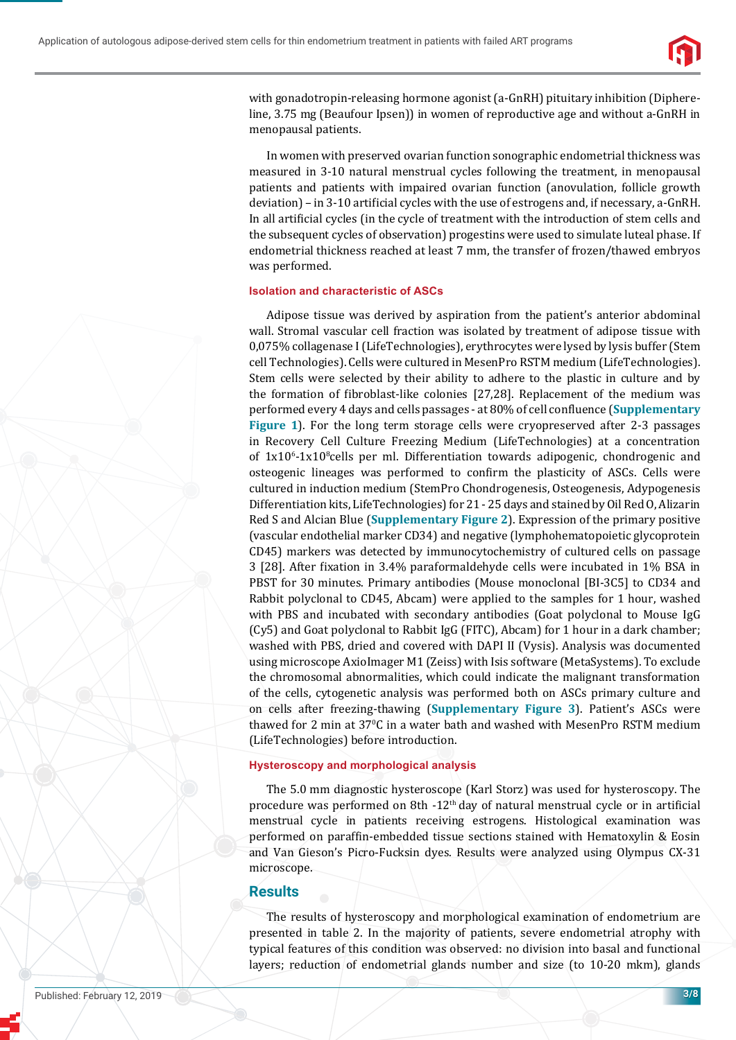

with gonadotropin-releasing hormone agonist (a-GnRH) pituitary inhibition (Diphereline, 3.75 mg (Beaufour Ipsen)) in women of reproductive age and without a-GnRH in menopausal patients.

In women with preserved ovarian function sonographic endometrial thickness was measured in 3-10 natural menstrual cycles following the treatment, in menopausal patients and patients with impaired ovarian function (anovulation, follicle growth deviation) – in 3-10 artificial cycles with the use of estrogens and, if necessary, a-GnRH. In all artificial cycles (in the cycle of treatment with the introduction of stem cells and the subsequent cycles of observation) progestins were used to simulate luteal phase. If endometrial thickness reached at least 7 mm, the transfer of frozen/thawed embryos was performed.

#### **Isolation and characteristic of ASCs**

Adipose tissue was derived by aspiration from the patient's anterior abdominal wall. Stromal vascular cell fraction was isolated by treatment of adipose tissue with 0,075% collagenase I (LifeTechnologies), erythrocytes were lysed by lysis buffer (Stem cell Technologies). Cells were cultured in MesenPro RSTM medium (LifeTechnologies). Stem cells were selected by their ability to adhere to the plastic in culture and by the formation of fibroblast-like colonies [27,28]. Replacement of the medium was performed every 4 days and cells passages - at 80% of cell confluence (Supplementary **Figure 1**). For the long term storage cells were cryopreserved after 2-3 passages in Recovery Cell Culture Freezing Medium (LifeTechnologies) at a concentration of  $1x10<sup>6</sup>$ -1x10<sup>8</sup>cells per ml. Differentiation towards adipogenic, chondrogenic and osteogenic lineages was performed to confirm the plasticity of ASCs. Cells were cultured in induction medium (StemPro Chondrogenesis, Osteogenesis, Adypogenesis Differentiation kits, LifeTechnologies) for 21 - 25 days and stained by Oil Red O, Alizarin Red S and Alcian Blue (**[Supplementary Figure 2](https://www.heighpubs.org/jsctt/jsctt-aid1013.rar)**). Expression of the primary positive (vascular endothelial marker CD34) and negative (lymphohematopoietic glycoprotein CD45) markers was detected by immunocytochemistry of cultured cells on passage 3 [28]. After fixation in 3.4% paraformaldehyde cells were incubated in 1% BSA in PBST for 30 minutes. Primary antibodies (Mouse monoclonal [BI-3C5] to CD34 and Rabbit polyclonal to CD45, Abcam) were applied to the samples for 1 hour, washed with PBS and incubated with secondary antibodies (Goat polyclonal to Mouse IgG (Cy5) and Goat polyclonal to Rabbit IgG (FITC), Abcam) for 1 hour in a dark chamber; washed with PBS, dried and covered with DAPI II (Vysis). Analysis was documented using microscope AxioImager M1 (Zeiss) with Isis software (MetaSystems). To exclude the chromosomal abnormalities, which could indicate the malignant transformation of the cells, cytogenetic analysis was performed both on ASCs primary culture and on cells after freezing-thawing (**[Supplementary Figure 3](https://www.heighpubs.org/jsctt/jsctt-aid1013.rar)**). Patient's ASCs were thawed for 2 min at 37°C in a water bath and washed with MesenPro RSTM medium (LifeTechnologies) before introduction.

#### **Hysteroscopy and morphological analysis**

The 5.0 mm diagnostic hysteroscope (Karl Storz) was used for hysteroscopy. The procedure was performed on 8th -12<sup>th</sup> day of natural menstrual cycle or in artificial menstrual cycle in patients receiving estrogens. Histological examination was performed on paraffin-embedded tissue sections stained with Hematoxylin & Eosin and Van Gieson's Picro-Fucksin dyes. Results were analyzed using Olympus CX-31 microscope.

## **Results**

The results of hysteroscopy and morphological examination of endometrium are presented in table 2. In the majority of patients, severe endometrial atrophy with typical features of this condition was observed: no division into basal and functional layers; reduction of endometrial glands number and size (to 10-20 mkm), glands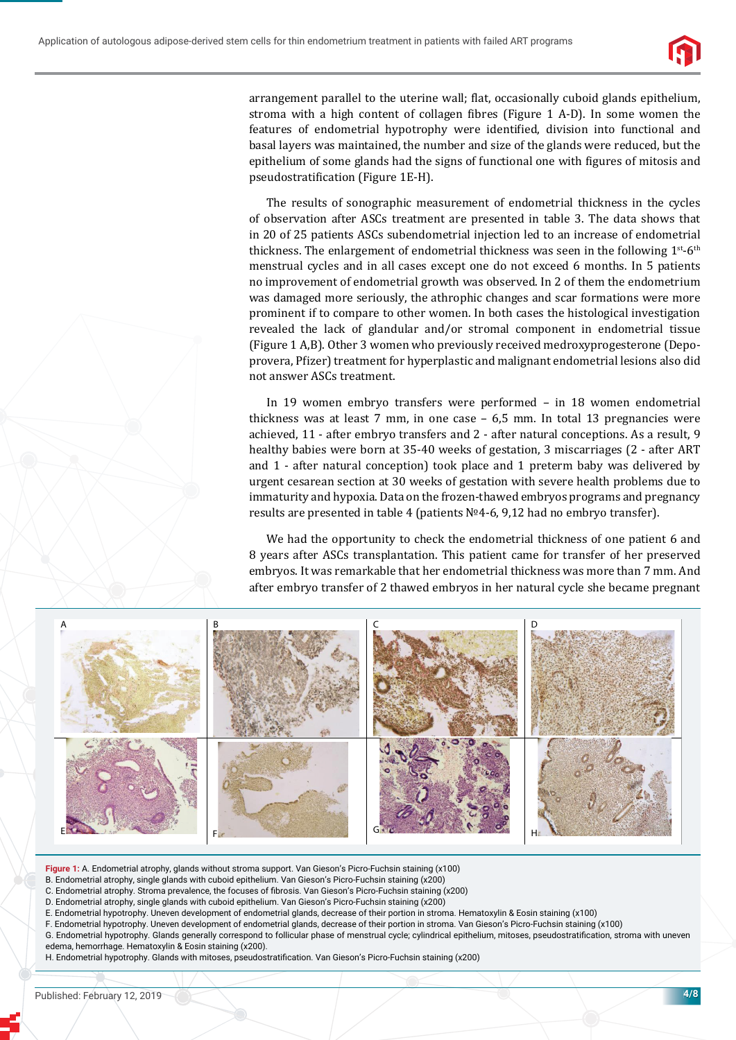

arrangement parallel to the uterine wall; flat, occasionally cuboid glands epithelium, stroma with a high content of collagen fibres (Figure 1 A-D). In some women the features of endometrial hypotrophy were identified, division into functional and basal layers was maintained, the number and size of the glands were reduced, but the epithelium of some glands had the signs of functional one with figures of mitosis and pseudostratification (Figure 1E-H).

The results of sonographic measurement of endometrial thickness in the cycles of observation after ASCs treatment are presented in table 3. The data shows that in 20 of 25 patients ASCs subendometrial injection led to an increase of endometrial thickness. The enlargement of endometrial thickness was seen in the following  $1^{st}$ -6<sup>th</sup> menstrual cycles and in all cases except one do not exceed 6 months. In 5 patients no improvement of endometrial growth was observed. In 2 of them the endometrium was damaged more seriously, the athrophic changes and scar formations were more prominent if to compare to other women. In both cases the histological investigation revealed the lack of glandular and/or stromal component in endometrial tissue (Figure 1 A,B). Other 3 women who previously received medroxyprogesterone (Depoprovera, Pfizer) treatment for hyperplastic and malignant endometrial lesions also did not answer ASCs treatment.

In 19 women embryo transfers were performed – in 18 women endometrial thickness was at least 7 mm, in one case – 6,5 mm. In total 13 pregnancies were achieved, 11 - after embryo transfers and 2 - after natural conceptions. As a result, 9 healthy babies were born at 35-40 weeks of gestation, 3 miscarriages (2 - after ART and 1 - after natural conception) took place and 1 preterm baby was delivered by urgent cesarean section at 30 weeks of gestation with severe health problems due to immaturity and hypoxia. Data on the frozen-thawed embryos programs and pregnancy results are presented in table 4 (patients №4-6, 9,12 had no embryo transfer).

We had the opportunity to check the endometrial thickness of one patient 6 and 8 years after ASCs transplantation. This patient came for transfer of her preserved embryos. It was remarkable that her endometrial thickness was more than 7 mm. And after embryo transfer of 2 thawed embryos in her natural cycle she became pregnant



**Figure 1:** A. Endometrial atrophy, glands without stroma support. Van Gieson's Picro-Fuchsin staining (х100)

B. Endometrial atrophy, single glands with cuboid epithelium. Van Gieson's Picro-Fuchsin staining (х200)

C. Endometrial atrophy. Stroma prevalence, the focuses of fibrosis. Van Gieson's Picro-Fuchsin staining (x200)

D. Endometrial atrophy, single glands with cuboid epithelium. Van Gieson's Picro-Fuchsin staining (х200)

E. Endometrial hypotrophy. Uneven development of endometrial glands, decrease of their portion in stroma. Hematoxylin & Eosin staining (х100) F. Endometrial hypotrophy. Uneven development of endometrial glands, decrease of their portion in stroma. Van Gieson's Picro-Fuchsin staining (х100)

G. Endometrial hypotrophy. Glands generally correspond to follicular phase of menstrual cycle; cylindrical epithelium, mitoses, pseudostratification, stroma with uneven edema, hemorrhage. Hematoxylin & Eosin staining (х200).

H. Endometrial hypotrophy. Glands with mitoses, pseudostratifi cation. Van Gieson's Picro-Fuchsin staining (х200)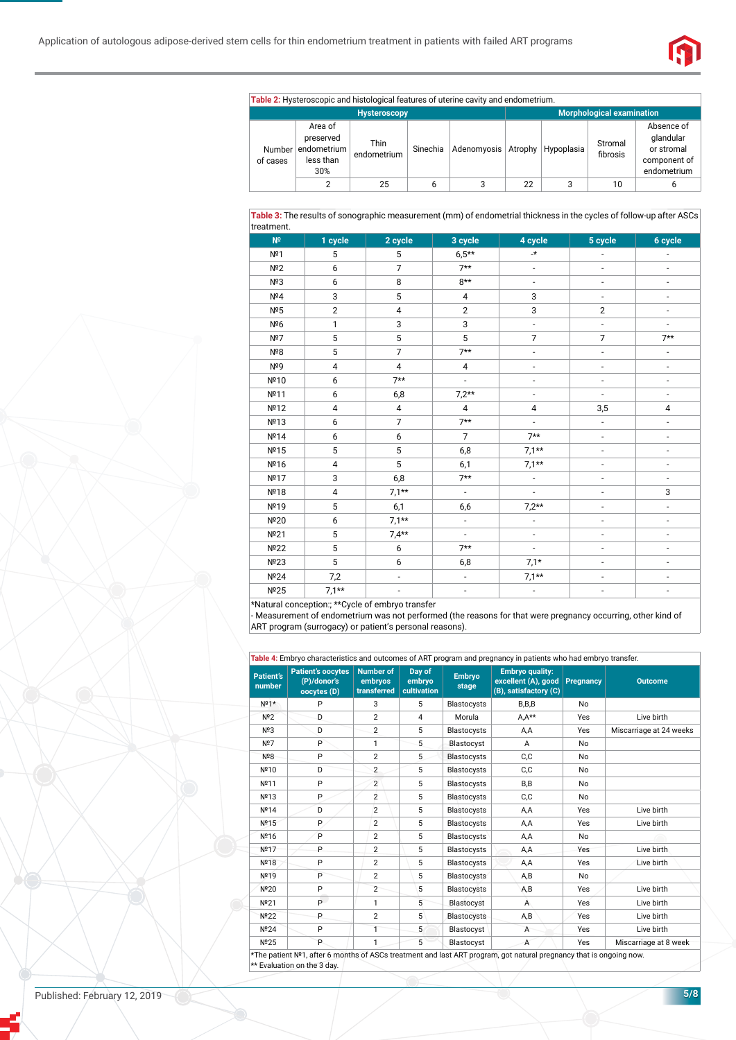

|                     |                                                         | Table 2: Hysteroscopic and histological features of uterine cavity and endometrium. |          |                                  |    |   |                     |                                                                      |
|---------------------|---------------------------------------------------------|-------------------------------------------------------------------------------------|----------|----------------------------------|----|---|---------------------|----------------------------------------------------------------------|
| <b>Hysteroscopy</b> |                                                         |                                                                                     |          | <b>Morphological examination</b> |    |   |                     |                                                                      |
| Number<br>of cases  | Area of<br>preserved<br>endometrium<br>less than<br>30% | <b>Thin</b><br>endometrium                                                          | Sinechia | Adenomyosis Atrophy Hypoplasia   |    |   | Stromal<br>fibrosis | Absence of<br>glandular<br>or stromal<br>component of<br>endometrium |
|                     |                                                         | 25                                                                                  | 6        | 3                                | 22 | 3 | 10                  | b                                                                    |

**Table 3:** The results of sonographic measurement (mm) of endometrial thickness in the cycles of follow-up after ASCs treatment.

| $N^{\circ}$ | 1 cycle      | 2 cycle        | 3 cycle                  | 4 cycle                  | 5 cycle                      | 6 cycle                      |
|-------------|--------------|----------------|--------------------------|--------------------------|------------------------------|------------------------------|
| Nº1         | 5            | 5              | $6,5**$                  | $\star$                  | $\overline{a}$               |                              |
| Nº2         | 6            | $\overline{7}$ | $7**$                    | ÷,                       | $\overline{\phantom{a}}$     | $\overline{\phantom{a}}$     |
| Nº3         | 6            | 8              | $8**$                    | $\overline{\phantom{a}}$ | $\overline{\phantom{0}}$     | $\overline{\phantom{a}}$     |
| Nº4         | 3            | $\mathbf 5$    | 4                        | 3                        | $\overline{\phantom{a}}$     | -                            |
| Nº5         | $\mathbf{2}$ | $\overline{4}$ | $\overline{2}$           | 3                        | $\overline{2}$               | -                            |
| Nº6         | 1            | 3              | 3                        | $\overline{a}$           | $\overline{a}$               |                              |
| Nº7         | 5            | 5              | 5                        | $\overline{7}$           | $\overline{7}$               | $7**$                        |
| Nº8         | 5            | $\overline{7}$ | $7**$                    | $\overline{\phantom{0}}$ | $\overline{\phantom{a}}$     | $\overline{\phantom{a}}$     |
| Nº9         | $\pmb{4}$    | $\overline{4}$ | $\overline{4}$           | $\overline{\phantom{0}}$ | $\qquad \qquad \blacksquare$ | $\overline{\phantom{a}}$     |
| Nº10        | 6            | $7**$          | $\frac{1}{2}$            | $\overline{\phantom{0}}$ | $\blacksquare$               | $\overline{\phantom{a}}$     |
| Nº11        | 6            | 6,8            | $7,2**$                  | $\overline{a}$           | $\overline{\phantom{a}}$     | $\overline{\phantom{0}}$     |
| Nº12        | 4            | 4              | 4                        | 4                        | 3,5                          | $\sqrt{4}$                   |
| Nº13        | 6            | $\overline{7}$ | $7**$                    | $\overline{a}$           | $\overline{\phantom{a}}$     | $\overline{\phantom{a}}$     |
| Nº14        | 6            | 6              | $\overline{7}$           | $7**$                    | $\qquad \qquad \blacksquare$ | $\overline{\phantom{0}}$     |
| Nº15        | 5            | 5              | 6,8                      | $7,1**$                  |                              | $\overline{\phantom{0}}$     |
| Nº16        | $\pmb{4}$    | 5              | 6,1                      | $7,1**$                  | $\qquad \qquad \blacksquare$ | $\overline{\phantom{0}}$     |
| Nº17        | 3            | 6,8            | $7**$                    | ÷,                       | $\overline{a}$               | $\overline{\phantom{a}}$     |
| Nº18        | 4            | $7,1**$        | $\overline{\phantom{a}}$ | $\overline{\phantom{0}}$ | $\overline{\phantom{m}}$     | 3                            |
| Nº19        | 5            | 6,1            | 6,6                      | $7,2**$                  | $\overline{a}$               | $\overline{\phantom{a}}$     |
| Nº20        | 6            | $7,1**$        | $\overline{\phantom{a}}$ | $\overline{\phantom{0}}$ | $\overline{\phantom{m}}$     | $\qquad \qquad \blacksquare$ |
| Nº21        | 5            | $7,4**$        | $\overline{\phantom{a}}$ | $\overline{\phantom{0}}$ | $\overline{\phantom{m}}$     | $\overline{\phantom{0}}$     |
| Nº22        | 5            | 6              | $7**$                    |                          |                              |                              |
| Nº23        | 5            | 6              | 6,8                      | $7,1*$                   | $\overline{a}$               |                              |
| Nº24        | 7,2          | $\overline{a}$ |                          | $7,1**$                  |                              |                              |
| Nº25        | $7,1**$      | L,             | $\overline{\phantom{a}}$ | $\overline{a}$           |                              |                              |

\*Natural conception:; \*\*Cycle of embryo transfer

- Measurement of endometrium was not performed (the reasons for that were pregnancy occurring, other kind of ART program (surrogacy) or patient's personal reasons).

| <b>Patient's</b><br>number | <b>Patient's oocytes</b><br>(P)/donor's<br>oocytes (D) | <b>Number of</b><br>embryos<br>transferred | Day of<br>embryo<br>cultivation | <b>Embryo</b><br>stage | <b>Embryo quality:</b><br>excellent (A), good Pregnancy<br>(B), satisfactory (C) |     | <b>Outcome</b>          |
|----------------------------|--------------------------------------------------------|--------------------------------------------|---------------------------------|------------------------|----------------------------------------------------------------------------------|-----|-------------------------|
| $N^{\circ}1^*$             | P                                                      | 3                                          | 5                               | Blastocysts            | $B$ , $B$ , $B$                                                                  | No  |                         |
| $N^{\circ}2$               | D                                                      | $\overline{2}$                             | 4                               | Morula                 | $A.A**$                                                                          | Yes | Live birth              |
| N <sup>2</sup> 3           | D                                                      | $\overline{2}$                             | 5                               | Blastocysts            | A,A                                                                              | Yes | Miscarriage at 24 weeks |
| Nº7                        | P                                                      | 1                                          | 5                               | Blastocyst             | A                                                                                | No  |                         |
| Nº8                        | P                                                      | $\overline{2}$                             | 5                               | Blastocysts            | C, C                                                                             | No  |                         |
| Nº10                       | D                                                      | $\overline{2}$                             | 5                               | Blastocysts            | C,C                                                                              | No  |                         |
| Nº11                       | P                                                      | $\overline{2}$                             | 5                               | Blastocysts            | B,B                                                                              | No  |                         |
| Nº13                       | P                                                      | $\overline{2}$                             | 5                               | <b>Blastocysts</b>     | C,C                                                                              | No  |                         |
| Nº14                       | D                                                      | $\overline{2}$                             | 5                               | Blastocysts            | A,A                                                                              | Yes | Live birth              |
| Nº15                       | P.                                                     | $\overline{2}$                             | 5                               | Blastocysts            | A,A                                                                              | Yes | Live birth              |
| Nº16                       | P                                                      | $\overline{2}$                             | 5                               | Blastocysts            | A,A                                                                              | No  |                         |
| Nº17                       | P                                                      | $\overline{2}$                             | 5                               | Blastocysts            | A,A                                                                              | Yes | Live birth              |
| Nº18                       | P                                                      | $\overline{2}$                             | 5                               | Blastocysts            | A,A                                                                              | Yes | Live birth              |
| Nº19                       | P                                                      | $\overline{2}$                             | 5                               | <b>Blastocysts</b>     | A,B                                                                              | No  |                         |
| Nº20                       | P                                                      | $\overline{2}$                             | 5                               | <b>Blastocysts</b>     | A, B                                                                             | Yes | Live birth              |
| Nº21                       | P.                                                     | 1                                          | 5                               | Blastocyst             | A                                                                                | Yes | Live birth              |
| Nº22                       | P                                                      | $\overline{2}$                             | 5                               | <b>Blastocysts</b>     | A,B                                                                              | Yes | Live birth              |
| Nº24                       | P                                                      | $\mathbf{1}$                               | 5                               | Blastocyst             | $\overline{A}$                                                                   | Yes | Live birth              |
| $N^{\circ}25$              | P                                                      | 1                                          | 5                               | Blastocyst             | A                                                                                | Yes | Miscarriage at 8 week   |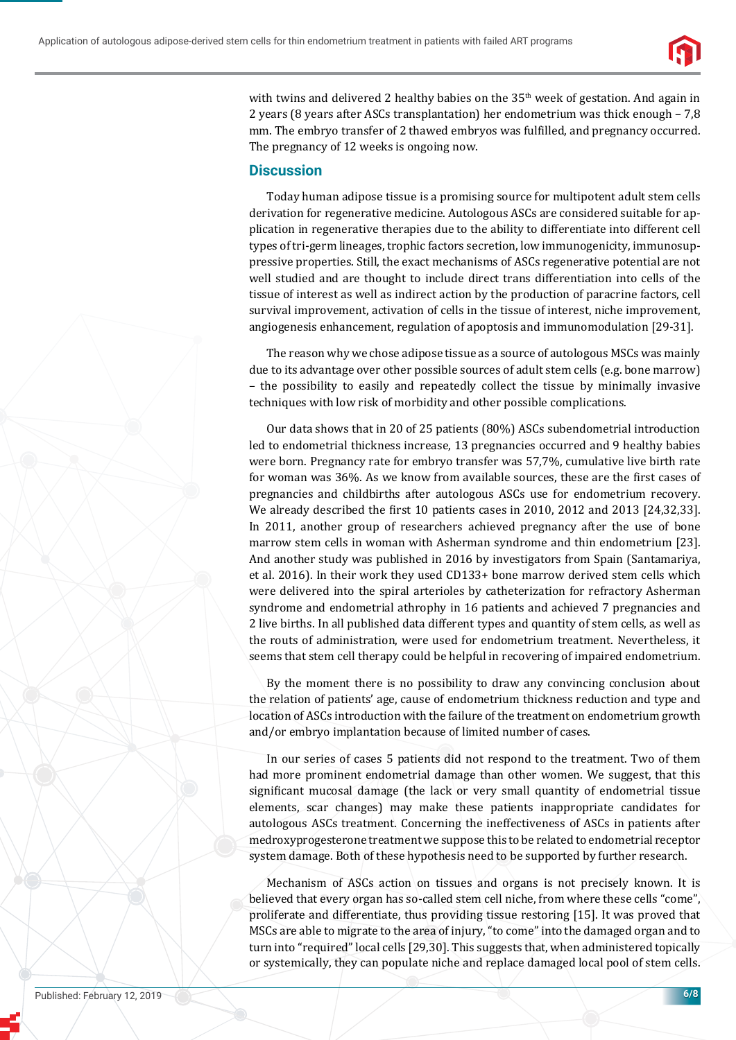

with twins and delivered 2 healthy babies on the  $35<sup>th</sup>$  week of gestation. And again in 2 years (8 years after ASCs transplantation) her endometrium was thick enough – 7,8 mm. The embryo transfer of 2 thawed embryos was fulfilled, and pregnancy occurred. The pregnancy of 12 weeks is ongoing now.

### **Discussion**

Today human adipose tissue is a promising source for multipotent adult stem cells derivation for regenerative medicine. Autologous ASCs are considered suitable for application in regenerative therapies due to the ability to differentiate into different cell types of tri-germ lineages, trophic factors secretion, low immunogenicity, immunosuppressive properties. Still, the exact mechanisms of ASCs regenerative potential are not well studied and are thought to include direct trans differentiation into cells of the tissue of interest as well as indirect action by the production of paracrine factors, cell survival improvement, activation of cells in the tissue of interest, niche improvement, angiogenesis enhancement, regulation of apoptosis and immunomodulation [29-31].

The reason why we chose adipose tissue as a source of autologous MSCs was mainly due to its advantage over other possible sources of adult stem cells (e.g. bone marrow) – the possibility to easily and repeatedly collect the tissue by minimally invasive techniques with low risk of morbidity and other possible complications.

Our data shows that in 20 of 25 patients (80%) ASCs subendometrial introduction led to endometrial thickness increase, 13 pregnancies occurred and 9 healthy babies were born. Pregnancy rate for embryo transfer was 57,7%, cumulative live birth rate for woman was 36%. As we know from available sources, these are the first cases of pregnancies and childbirths after autologous ASCs use for endometrium recovery. We already described the first 10 patients cases in 2010, 2012 and 2013 [24,32,33]. In 2011, another group of researchers achieved pregnancy after the use of bone marrow stem cells in woman with Asherman syndrome and thin endometrium [23]. And another study was published in 2016 by investigators from Spain (Santamariya, et al. 2016). In their work they used CD133+ bone marrow derived stem cells which were delivered into the spiral arterioles by catheterization for refractory Asherman syndrome and endometrial athrophy in 16 patients and achieved 7 pregnancies and 2 live births. In all published data different types and quantity of stem cells, as well as the routs of administration, were used for endometrium treatment. Nevertheless, it seems that stem cell therapy could be helpful in recovering of impaired endometrium.

By the moment there is no possibility to draw any convincing conclusion about the relation of patients' age, cause of endometrium thickness reduction and type and location of ASCs introduction with the failure of the treatment on endometrium growth and/or embryo implantation because of limited number of cases.

In our series of cases 5 patients did not respond to the treatment. Two of them had more prominent endometrial damage than other women. We suggest, that this significant mucosal damage (the lack or very small quantity of endometrial tissue elements, scar changes) may make these patients inappropriate candidates for autologous ASCs treatment. Concerning the ineffectiveness of ASCs in patients after medroxyprogesterone treatment we suppose this to be related to endometrial receptor system damage. Both of these hypothesis need to be supported by further research.

Mechanism of ASCs action on tissues and organs is not precisely known. It is believed that every organ has so-called stem cell niche, from where these cells "come", proliferate and differentiate, thus providing tissue restoring [15]. It was proved that MSCs are able to migrate to the area of injury, "to come" into the damaged organ and to turn into "required" local cells [29,30]. This suggests that, when administered topically or systemically, they can populate niche and replace damaged local pool of stem cells.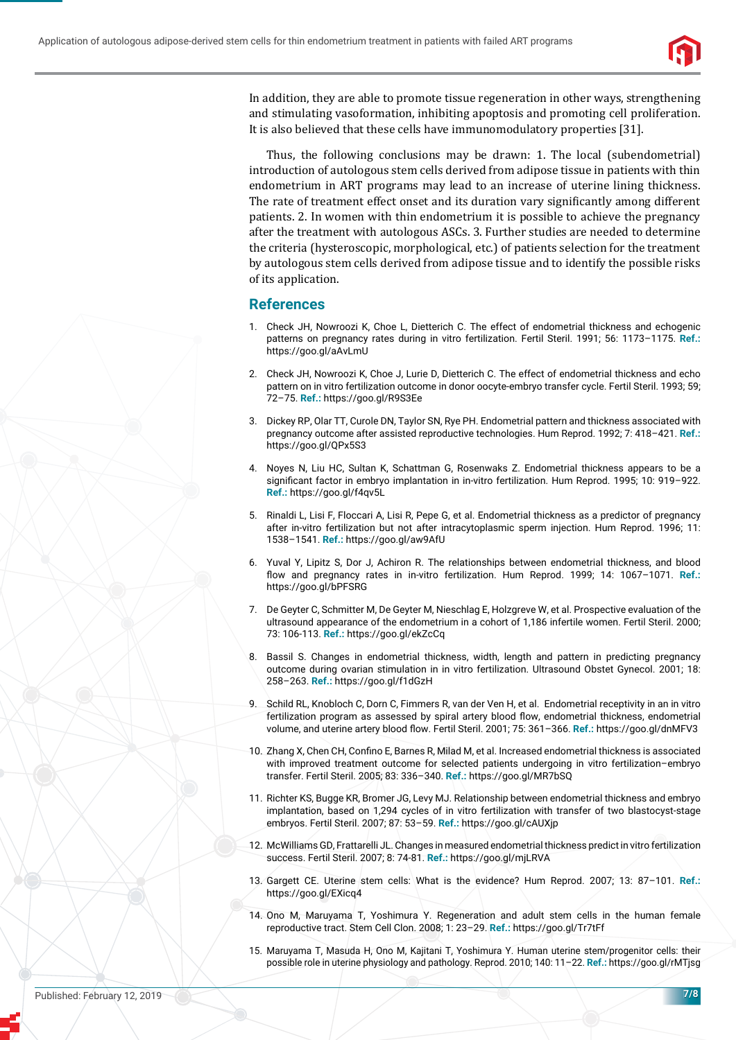

In addition, they are able to promote tissue regeneration in other ways, strengthening and stimulating vasoformation, inhibiting apoptosis and promoting cell proliferation. It is also believed that these cells have immunomodulatory properties [31].

Thus, the following conclusions may be drawn: 1. The local (subendometrial) introduction of autologous stem cells derived from adipose tissue in patients with thin endometrium in ART programs may lead to an increase of uterine lining thickness. The rate of treatment effect onset and its duration vary significantly among different patients. 2. In women with thin endometrium it is possible to achieve the pregnancy after the treatment with autologous ASCs. 3. Further studies are needed to determine the criteria (hysteroscopic, morphological, etc.) of patients selection for the treatment by autologous stem cells derived from adipose tissue and to identify the possible risks of its application.

## **References**

- 1. Check JH, Nowroozi K, Choe L, Dietterich C. The effect of endometrial thickness and echogenic patterns on pregnancy rates during in vitro fertilization. Fertil Steril. 1991; 56: 1173–1175. **Ref.:**  https://goo.gl/aAvLmU
- 2. Check JH, Nowroozi K, Choe J, Lurie D, Dietterich C. The effect of endometrial thickness and echo pattern on in vitro fertilization outcome in donor oocyte-embryo transfer cycle. Fertil Steril. 1993; 59; 72–75. **Ref.:** https://goo.gl/R9S3Ee
- 3. Dickey RP, Olar TT, Curole DN, Taylor SN, Rye PH. Endometrial pattern and thickness associated with pregnancy outcome after assisted reproductive technologies. Hum Reprod. 1992; 7: 418–421. **Ref.:** https://goo.gl/QPx5S3
- 4. Noyes N, Liu HC, Sultan K, Schattman G, Rosenwaks Z. Endometrial thickness appears to be a significant factor in embryo implantation in in-vitro fertilization. Hum Reprod. 1995; 10: 919-922. **Ref.:** https://goo.gl/f4qv5L
- 5. Rinaldi L, Lisi F, Floccari A, Lisi R, Pepe G, et al. Endometrial thickness as a predictor of pregnancy after in-vitro fertilization but not after intracytoplasmic sperm injection. Hum Reprod. 1996; 11: 1538–1541. **Ref.:** https://goo.gl/aw9AfU
- 6. Yuval Y, Lipitz S, Dor J, Achiron R. The relationships between endometrial thickness, and blood flow and pregnancy rates in in-vitro fertilization. Hum Reprod. 1999; 14: 1067-1071. Ref.: https://goo.gl/bPFSRG
- 7. De Geyter C, Schmitter M, De Geyter M, Nieschlag E, Holzgreve W, et al. Prospective evaluation of the ultrasound appearance of the endometrium in a cohort of 1,186 infertile women. Fertil Steril. 2000; 73: 106-113. **Ref.:** https://goo.gl/ekZcCq
- 8. Bassil S. Changes in endometrial thickness, width, length and pattern in predicting pregnancy outcome during ovarian stimulation in in vitro fertilization. Ultrasound Obstet Gynecol. 2001; 18: 258–263. **Ref.:** https://goo.gl/f1dGzH
- 9. Schild RL, Knobloch C, Dorn C, Fimmers R, van der Ven H, et al. Endometrial receptivity in an in vitro fertilization program as assessed by spiral artery blood flow, endometrial thickness, endometrial volume, and uterine artery blood flow. Fertil Steril. 2001; 75: 361-366. Ref.: https://goo.gl/dnMFV3
- 10. Zhang X, Chen CH, Confino E, Barnes R, Milad M, et al. Increased endometrial thickness is associated with improved treatment outcome for selected patients undergoing in vitro fertilization–embryo transfer. Fertil Steril. 2005; 83: 336–340. **Ref.:** https://goo.gl/MR7bSQ
- 11. Richter KS, Bugge KR, Bromer JG, Levy MJ. Relationship between endometrial thickness and embryo implantation, based on 1,294 cycles of in vitro fertilization with transfer of two blastocyst-stage embryos. Fertil Steril. 2007; 87: 53–59. **Ref.:** https://goo.gl/cAUXjp
- 12. McWilliams GD, Frattarelli JL. Changes in measured endometrial thickness predict in vitro fertilization success. Fertil Steril. 2007; 8: 74-81. **Ref.:** https://goo.gl/mjLRVA
- 13. Gargett CE. Uterine stem cells: What is the evidence? Hum Reprod. 2007; 13: 87–101. **Ref.:** https://goo.gl/EXicq4
- 14. Ono M, Maruyama T, Yoshimura Y. Regeneration and adult stem cells in the human female reproductive tract. Stem Cell Clon. 2008; 1: 23–29. **Ref.:** https://goo.gl/Tr7tFf
- 15. Maruyama T, Masuda H, Ono M, Kajitani T, Yoshimura Y. Human uterine stem/progenitor cells: their possible role in uterine physiology and pathology. Reprod. 2010; 140: 11–22. **Ref.:** https://goo.gl/rMTjsg